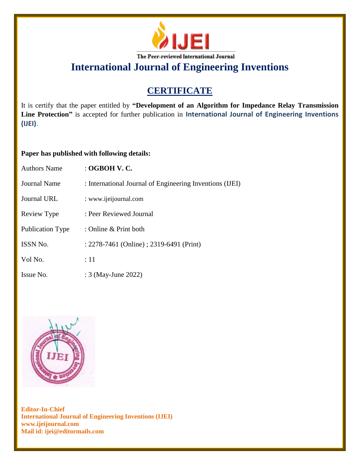

**International Journal of Engineering Inventions**

# **CERTIFICATE**

It is certify that the paper entitled by **"Development of an Algorithm for Impedance Relay Transmission Line Protection"** is accepted for further publication in **International Journal of Engineering Inventions (IJEI)**.

## **Paper has published with following details:**

| <b>Authors Name</b>     | : OGBOH V. C.                                            |
|-------------------------|----------------------------------------------------------|
| Journal Name            | : International Journal of Engineering Inventions (IJEI) |
| Journal URL             | : www.ijeijournal.com                                    |
| Review Type             | : Peer Reviewed Journal                                  |
| <b>Publication Type</b> | : Online & Print both                                    |
| <b>ISSN No.</b>         | : 2278-7461 (Online) ; 2319-6491 (Print)                 |
| Vol No.                 | :11                                                      |
| Issue No.               | : 3 (May-June 2022)                                      |



**Editor-In-Chief International Journal of Engineering Inventions (IJEI) www.ijeijournal.com Mail id: ijei@editormails.com**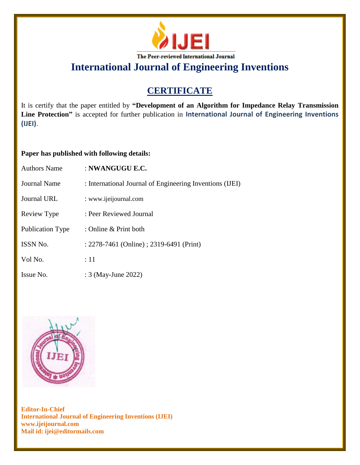

**International Journal of Engineering Inventions**

# **CERTIFICATE**

It is certify that the paper entitled by **"Development of an Algorithm for Impedance Relay Transmission Line Protection"** is accepted for further publication in **International Journal of Engineering Inventions (IJEI)**.

## **Paper has published with following details:**

| <b>Authors Name</b> | : NWANGUGU E.C.                                          |
|---------------------|----------------------------------------------------------|
| Journal Name        | : International Journal of Engineering Inventions (IJEI) |
| <b>Journal URL</b>  | : www.ijeijournal.com                                    |
| Review Type         | : Peer Reviewed Journal                                  |
| Publication Type    | : Online $\&$ Print both                                 |
| <b>ISSN No.</b>     | : 2278-7461 (Online) ; 2319-6491 (Print)                 |
| Vol No.             | $\div 11$                                                |
| Issue No.           | : 3 (May-June 2022)                                      |



**Editor-In-Chief International Journal of Engineering Inventions (IJEI) www.ijeijournal.com Mail id: ijei@editormails.com**